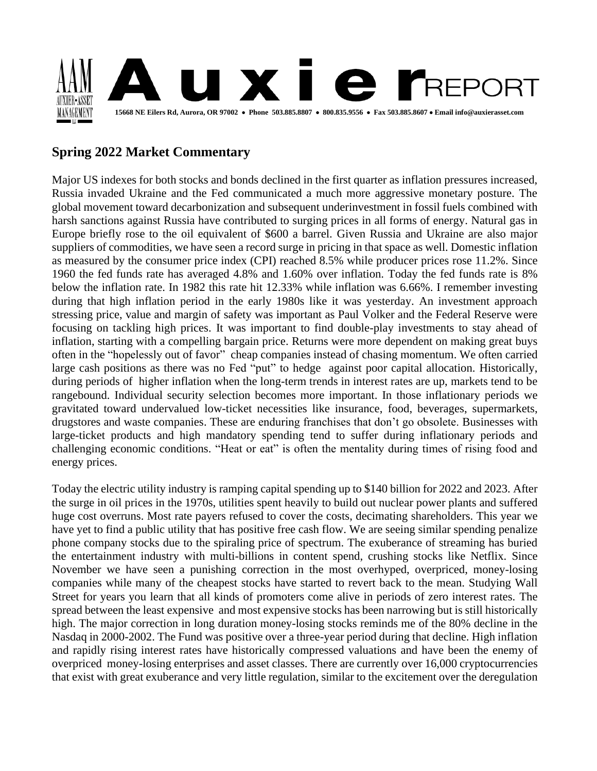

# **Spring 2022 Market Commentary**

Major US indexes for both stocks and bonds declined in the first quarter as inflation pressures increased, Russia invaded Ukraine and the Fed communicated a much more aggressive monetary posture. The global movement toward decarbonization and subsequent underinvestment in fossil fuels combined with harsh sanctions against Russia have contributed to surging prices in all forms of energy. Natural gas in Europe briefly rose to the oil equivalent of \$600 a barrel. Given Russia and Ukraine are also major suppliers of commodities, we have seen a record surge in pricing in that space as well. Domestic inflation as measured by the consumer price index (CPI) reached 8.5% while producer prices rose 11.2%. Since 1960 the fed funds rate has averaged 4.8% and 1.60% over inflation. Today the fed funds rate is 8% below the inflation rate. In 1982 this rate hit 12.33% while inflation was 6.66%. I remember investing during that high inflation period in the early 1980s like it was yesterday. An investment approach stressing price, value and margin of safety was important as Paul Volker and the Federal Reserve were focusing on tackling high prices. It was important to find double-play investments to stay ahead of inflation, starting with a compelling bargain price. Returns were more dependent on making great buys often in the "hopelessly out of favor" cheap companies instead of chasing momentum. We often carried large cash positions as there was no Fed "put" to hedge against poor capital allocation. Historically, during periods of higher inflation when the long-term trends in interest rates are up, markets tend to be rangebound. Individual security selection becomes more important. In those inflationary periods we gravitated toward undervalued low-ticket necessities like insurance, food, beverages, supermarkets, drugstores and waste companies. These are enduring franchises that don't go obsolete. Businesses with large-ticket products and high mandatory spending tend to suffer during inflationary periods and challenging economic conditions. "Heat or eat" is often the mentality during times of rising food and energy prices.

Today the electric utility industry is ramping capital spending up to \$140 billion for 2022 and 2023. After the surge in oil prices in the 1970s, utilities spent heavily to build out nuclear power plants and suffered huge cost overruns. Most rate payers refused to cover the costs, decimating shareholders. This year we have yet to find a public utility that has positive free cash flow. We are seeing similar spending penalize phone company stocks due to the spiraling price of spectrum. The exuberance of streaming has buried the entertainment industry with multi-billions in content spend, crushing stocks like Netflix. Since November we have seen a punishing correction in the most overhyped, overpriced, money-losing companies while many of the cheapest stocks have started to revert back to the mean. Studying Wall Street for years you learn that all kinds of promoters come alive in periods of zero interest rates. The spread between the least expensive and most expensive stocks has been narrowing but is still historically high. The major correction in long duration money-losing stocks reminds me of the 80% decline in the Nasdaq in 2000-2002. The Fund was positive over a three-year period during that decline. High inflation and rapidly rising interest rates have historically compressed valuations and have been the enemy of overpriced money-losing enterprises and asset classes. There are currently over 16,000 cryptocurrencies that exist with great exuberance and very little regulation, similar to the excitement over the deregulation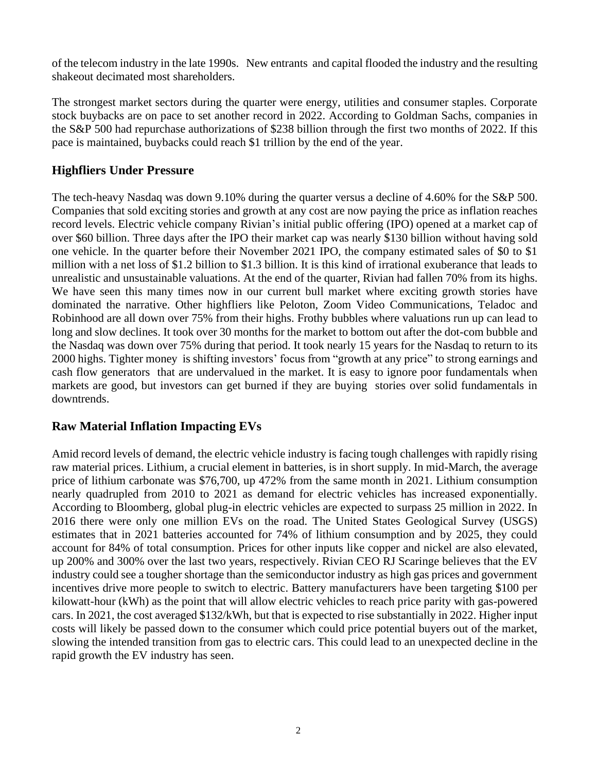of the telecom industry in the late 1990s. New entrants and capital flooded the industry and the resulting shakeout decimated most shareholders.

The strongest market sectors during the quarter were energy, utilities and consumer staples. Corporate stock buybacks are on pace to set another record in 2022. According to Goldman Sachs, companies in the S&P 500 had repurchase authorizations of \$238 billion through the first two months of 2022. If this pace is maintained, buybacks could reach \$1 trillion by the end of the year.

# **Highfliers Under Pressure**

The tech-heavy Nasdaq was down 9.10% during the quarter versus a decline of 4.60% for the S&P 500. Companies that sold exciting stories and growth at any cost are now paying the price as inflation reaches record levels. Electric vehicle company Rivian's initial public offering (IPO) opened at a market cap of over \$60 billion. Three days after the IPO their market cap was nearly \$130 billion without having sold one vehicle. In the quarter before their November 2021 IPO, the company estimated sales of \$0 to \$1 million with a net loss of \$1.2 billion to \$1.3 billion. It is this kind of irrational exuberance that leads to unrealistic and unsustainable valuations. At the end of the quarter, Rivian had fallen 70% from its highs. We have seen this many times now in our current bull market where exciting growth stories have dominated the narrative. Other highfliers like Peloton, Zoom Video Communications, Teladoc and Robinhood are all down over 75% from their highs. Frothy bubbles where valuations run up can lead to long and slow declines. It took over 30 months for the market to bottom out after the dot-com bubble and the Nasdaq was down over 75% during that period. It took nearly 15 years for the Nasdaq to return to its 2000 highs. Tighter money is shifting investors' focus from "growth at any price" to strong earnings and cash flow generators that are undervalued in the market. It is easy to ignore poor fundamentals when markets are good, but investors can get burned if they are buying stories over solid fundamentals in downtrends.

### **Raw Material Inflation Impacting EVs**

Amid record levels of demand, the electric vehicle industry is facing tough challenges with rapidly rising raw material prices. Lithium, a crucial element in batteries, is in short supply. In mid-March, the average price of lithium carbonate was \$76,700, up 472% from the same month in 2021. Lithium consumption nearly quadrupled from 2010 to 2021 as demand for electric vehicles has increased exponentially. According to Bloomberg, global plug-in electric vehicles are expected to surpass 25 million in 2022. In 2016 there were only one million EVs on the road. The United States Geological Survey (USGS) estimates that in 2021 batteries accounted for 74% of lithium consumption and by 2025, they could account for 84% of total consumption. Prices for other inputs like copper and nickel are also elevated, up 200% and 300% over the last two years, respectively. Rivian CEO RJ Scaringe believes that the EV industry could see a tougher shortage than the semiconductor industry as high gas prices and government incentives drive more people to switch to electric. Battery manufacturers have been targeting \$100 per kilowatt-hour (kWh) as the point that will allow electric vehicles to reach price parity with gas-powered cars. In 2021, the cost averaged \$132/kWh, but that is expected to rise substantially in 2022. Higher input costs will likely be passed down to the consumer which could price potential buyers out of the market, slowing the intended transition from gas to electric cars. This could lead to an unexpected decline in the rapid growth the EV industry has seen.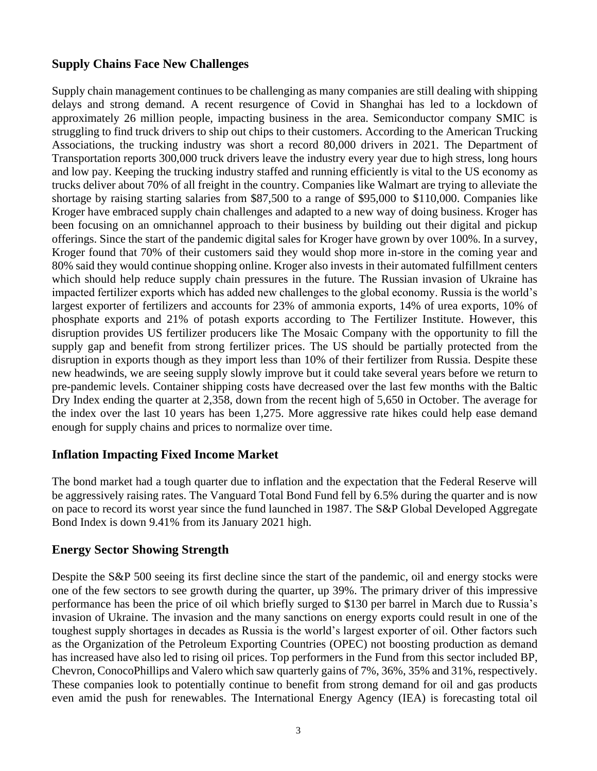### **Supply Chains Face New Challenges**

Supply chain management continues to be challenging as many companies are still dealing with shipping delays and strong demand. A recent resurgence of Covid in Shanghai has led to a lockdown of approximately 26 million people, impacting business in the area. Semiconductor company SMIC is struggling to find truck drivers to ship out chips to their customers. According to the American Trucking Associations, the trucking industry was short a record 80,000 drivers in 2021. The Department of Transportation reports 300,000 truck drivers leave the industry every year due to high stress, long hours and low pay. Keeping the trucking industry staffed and running efficiently is vital to the US economy as trucks deliver about 70% of all freight in the country. Companies like Walmart are trying to alleviate the shortage by raising starting salaries from \$87,500 to a range of \$95,000 to \$110,000. Companies like Kroger have embraced supply chain challenges and adapted to a new way of doing business. Kroger has been focusing on an omnichannel approach to their business by building out their digital and pickup offerings. Since the start of the pandemic digital sales for Kroger have grown by over 100%. In a survey, Kroger found that 70% of their customers said they would shop more in-store in the coming year and 80% said they would continue shopping online. Kroger also invests in their automated fulfillment centers which should help reduce supply chain pressures in the future. The Russian invasion of Ukraine has impacted fertilizer exports which has added new challenges to the global economy. Russia is the world's largest exporter of fertilizers and accounts for 23% of ammonia exports, 14% of urea exports, 10% of phosphate exports and 21% of potash exports according to The Fertilizer Institute. However, this disruption provides US fertilizer producers like The Mosaic Company with the opportunity to fill the supply gap and benefit from strong fertilizer prices. The US should be partially protected from the disruption in exports though as they import less than 10% of their fertilizer from Russia. Despite these new headwinds, we are seeing supply slowly improve but it could take several years before we return to pre-pandemic levels. Container shipping costs have decreased over the last few months with the Baltic Dry Index ending the quarter at 2,358, down from the recent high of 5,650 in October. The average for the index over the last 10 years has been 1,275. More aggressive rate hikes could help ease demand enough for supply chains and prices to normalize over time.

# **Inflation Impacting Fixed Income Market**

The bond market had a tough quarter due to inflation and the expectation that the Federal Reserve will be aggressively raising rates. The Vanguard Total Bond Fund fell by 6.5% during the quarter and is now on pace to record its worst year since the fund launched in 1987. The S&P Global Developed Aggregate Bond Index is down 9.41% from its January 2021 high.

### **Energy Sector Showing Strength**

Despite the S&P 500 seeing its first decline since the start of the pandemic, oil and energy stocks were one of the few sectors to see growth during the quarter, up 39%. The primary driver of this impressive performance has been the price of oil which briefly surged to \$130 per barrel in March due to Russia's invasion of Ukraine. The invasion and the many sanctions on energy exports could result in one of the toughest supply shortages in decades as Russia is the world's largest exporter of oil. Other factors such as the Organization of the Petroleum Exporting Countries (OPEC) not boosting production as demand has increased have also led to rising oil prices. Top performers in the Fund from this sector included BP, Chevron, ConocoPhillips and Valero which saw quarterly gains of 7%, 36%, 35% and 31%, respectively. These companies look to potentially continue to benefit from strong demand for oil and gas products even amid the push for renewables. The International Energy Agency (IEA) is forecasting total oil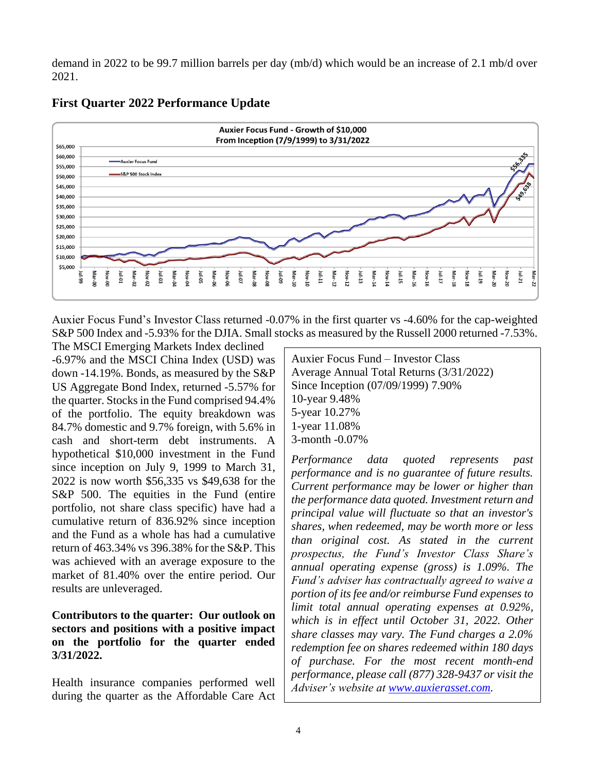demand in 2022 to be 99.7 million barrels per day (mb/d) which would be an increase of 2.1 mb/d over 2021.



# **First Quarter 2022 Performance Update**

Auxier Focus Fund's Investor Class returned -0.07% in the first quarter vs -4.60% for the cap-weighted S&P 500 Index and -5.93% for the DJIA. Small stocks as measured by the Russell 2000 returned -7.53%.

The MSCI Emerging Markets Index declined -6.97% and the MSCI China Index (USD) was down -14.19%. Bonds, as measured by the S&P US Aggregate Bond Index, returned -5.57% for the quarter. Stocks in the Fund comprised 94.4% of the portfolio. The equity breakdown was 84.7% domestic and 9.7% foreign, with 5.6% in cash and short-term debt instruments. A hypothetical \$10,000 investment in the Fund since inception on July 9, 1999 to March 31, 2022 is now worth \$56,335 vs \$49,638 for the S&P 500. The equities in the Fund (entire portfolio, not share class specific) have had a cumulative return of 836.92% since inception and the Fund as a whole has had a cumulative return of 463.34% vs 396.38% for the S&P. This was achieved with an average exposure to the market of 81.40% over the entire period. Our results are unleveraged.

#### **Contributors to the quarter: Our outlook on sectors and positions with a positive impact on the portfolio for the quarter ended 3/31/2022.**

Health insurance companies performed well during the quarter as the Affordable Care Act

Auxier Focus Fund – Investor Class Average Annual Total Returns (3/31/2022) Since Inception (07/09/1999) 7.90% 10-year 9.48% 5-year 10.27% 1-year 11.08% 3-month -0.07%

*Performance data quoted represents past performance and is no guarantee of future results. Current performance may be lower or higher than the performance data quoted. Investment return and principal value will fluctuate so that an investor's shares, when redeemed, may be worth more or less than original cost. As stated in the current prospectus, the Fund's Investor Class Share's annual operating expense (gross) is 1.09%. The Fund's adviser has contractually agreed to waive a portion of its fee and/or reimburse Fund expenses to limit total annual operating expenses at 0.92%, which is in effect until October 31, 2022. Other share classes may vary. The Fund charges a 2.0% redemption fee on shares redeemed within 180 days of purchase. For the most recent month-end performance, please call (877) 328-9437 or visit the Adviser's website at [www.auxierasset.com.](http://www.auxierasset.com/)*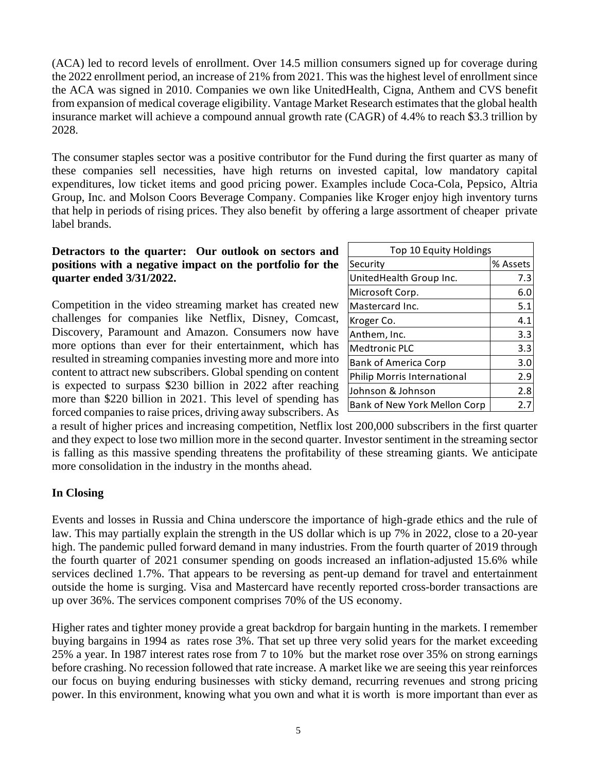(ACA) led to record levels of enrollment. Over 14.5 million consumers signed up for coverage during the 2022 enrollment period, an increase of 21% from 2021. This was the highest level of enrollment since the ACA was signed in 2010. Companies we own like UnitedHealth, Cigna, Anthem and CVS benefit from expansion of medical coverage eligibility. Vantage Market Research estimates that the global health insurance market will achieve a compound annual growth rate (CAGR) of 4.4% to reach \$3.3 trillion by 2028.

The consumer staples sector was a positive contributor for the Fund during the first quarter as many of these companies sell necessities, have high returns on invested capital, low mandatory capital expenditures, low ticket items and good pricing power. Examples include Coca-Cola, Pepsico, Altria Group, Inc. and Molson Coors Beverage Company. Companies like Kroger enjoy high inventory turns that help in periods of rising prices. They also benefit by offering a large assortment of cheaper private label brands.

#### **Detractors to the quarter: Our outlook on sectors and positions with a negative impact on the portfolio for the quarter ended 3/31/2022.**

Competition in the video streaming market has created new challenges for companies like Netflix, Disney, Comcast, Discovery, Paramount and Amazon. Consumers now have more options than ever for their entertainment, which has resulted in streaming companies investing more and more into content to attract new subscribers. Global spending on content is expected to surpass \$230 billion in 2022 after reaching more than \$220 billion in 2021. This level of spending has forced companies to raise prices, driving away subscribers. As

| Top 10 Equity Holdings       |          |
|------------------------------|----------|
| Security                     | % Assets |
| UnitedHealth Group Inc.      | 7.3      |
| Microsoft Corp.              | 6.0      |
| Mastercard Inc.              | 5.1      |
| Kroger Co.                   | 4.1      |
| Anthem, Inc.                 | 3.3      |
| <b>Medtronic PLC</b>         | 3.3      |
| <b>Bank of America Corp</b>  | 3.0      |
| Philip Morris International  | 2.9      |
| Johnson & Johnson            | 2.8      |
| Bank of New York Mellon Corp | 2.       |

a result of higher prices and increasing competition, Netflix lost 200,000 subscribers in the first quarter and they expect to lose two million more in the second quarter. Investor sentiment in the streaming sector is falling as this massive spending threatens the profitability of these streaming giants. We anticipate more consolidation in the industry in the months ahead.

### **In Closing**

Events and losses in Russia and China underscore the importance of high-grade ethics and the rule of law. This may partially explain the strength in the US dollar which is up 7% in 2022, close to a 20-year high. The pandemic pulled forward demand in many industries. From the fourth quarter of 2019 through the fourth quarter of 2021 consumer spending on goods increased an inflation-adjusted 15.6% while services declined 1.7%. That appears to be reversing as pent-up demand for travel and entertainment outside the home is surging. Visa and Mastercard have recently reported cross-border transactions are up over 36%. The services component comprises 70% of the US economy.

Higher rates and tighter money provide a great backdrop for bargain hunting in the markets. I remember buying bargains in 1994 as rates rose 3%. That set up three very solid years for the market exceeding 25% a year. In 1987 interest rates rose from 7 to 10% but the market rose over 35% on strong earnings before crashing. No recession followed that rate increase. A market like we are seeing this year reinforces our focus on buying enduring businesses with sticky demand, recurring revenues and strong pricing power. In this environment, knowing what you own and what it is worth is more important than ever as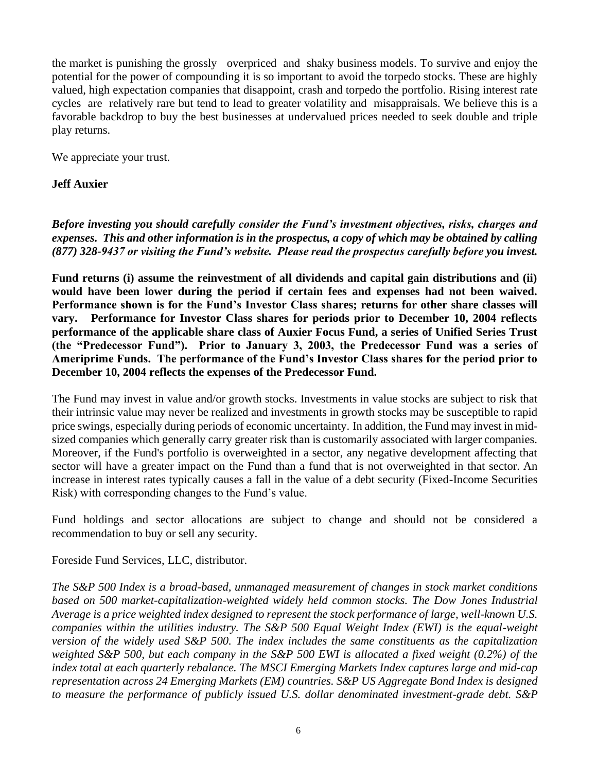the market is punishing the grossly overpriced and shaky business models. To survive and enjoy the potential for the power of compounding it is so important to avoid the torpedo stocks. These are highly valued, high expectation companies that disappoint, crash and torpedo the portfolio. Rising interest rate cycles are relatively rare but tend to lead to greater volatility and misappraisals. We believe this is a favorable backdrop to buy the best businesses at undervalued prices needed to seek double and triple play returns.

We appreciate your trust.

#### **Jeff Auxier**

*Before investing you should carefully consider the Fund's investment objectives, risks, charges and expenses. This and other information is in the prospectus, a copy of which may be obtained by calling (877) 328-9437 or visiting the Fund's website. Please read the prospectus carefully before you invest.*

**Fund returns (i) assume the reinvestment of all dividends and capital gain distributions and (ii) would have been lower during the period if certain fees and expenses had not been waived. Performance shown is for the Fund's Investor Class shares; returns for other share classes will vary. Performance for Investor Class shares for periods prior to December 10, 2004 reflects performance of the applicable share class of Auxier Focus Fund, a series of Unified Series Trust (the "Predecessor Fund"). Prior to January 3, 2003, the Predecessor Fund was a series of Ameriprime Funds. The performance of the Fund's Investor Class shares for the period prior to December 10, 2004 reflects the expenses of the Predecessor Fund.** 

The Fund may invest in value and/or growth stocks. Investments in value stocks are subject to risk that their intrinsic value may never be realized and investments in growth stocks may be susceptible to rapid price swings, especially during periods of economic uncertainty. In addition, the Fund may invest in midsized companies which generally carry greater risk than is customarily associated with larger companies. Moreover, if the Fund's portfolio is overweighted in a sector, any negative development affecting that sector will have a greater impact on the Fund than a fund that is not overweighted in that sector. An increase in interest rates typically causes a fall in the value of a debt security (Fixed-Income Securities Risk) with corresponding changes to the Fund's value.

Fund holdings and sector allocations are subject to change and should not be considered a recommendation to buy or sell any security.

Foreside Fund Services, LLC, distributor.

*The S&P 500 Index is a broad-based, unmanaged measurement of changes in stock market conditions based on 500 market-capitalization-weighted widely held common stocks. The Dow Jones Industrial Average is a price weighted index designed to represent the stock performance of large, well-known U.S. companies within the utilities industry. The S&P 500 Equal Weight Index (EWI) is the equal-weight version of the widely used S&P 500. The index includes the same constituents as the capitalization weighted S&P 500, but each company in the S&P 500 EWI is allocated a fixed weight (0.2%) of the index total at each quarterly rebalance. The MSCI Emerging Markets Index captures large and mid-cap representation across 24 Emerging Markets (EM) countries. S&P US Aggregate Bond Index is designed to measure the performance of publicly issued U.S. dollar denominated investment-grade debt. S&P*